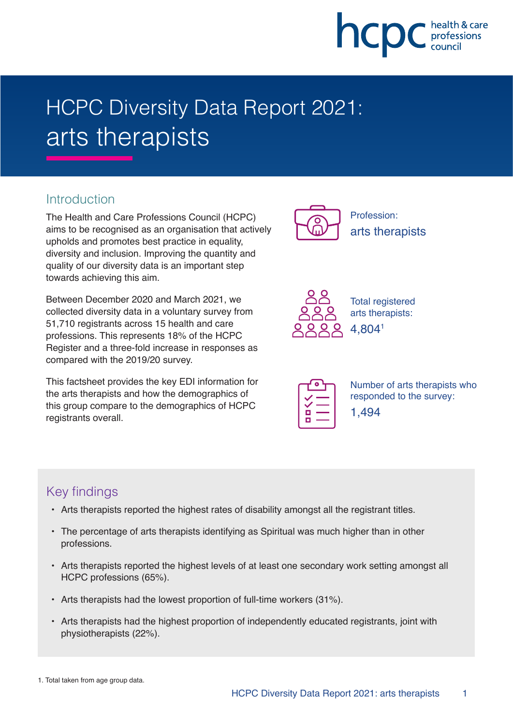

# HCPC Diversity Data Report 2021: arts therapists

### **Introduction**

The Health and Care Professions Council (HCPC) aims to be recognised as an organisation that actively upholds and promotes best practice in equality, diversity and inclusion. Improving the quantity and quality of our diversity data is an important step towards achieving this aim.

Between December 2020 and March 2021, we collected diversity data in a voluntary survey from 51,710 registrants across 15 health and care professions. This represents 18% of the HCPC Register and a three-fold increase in responses as compared with the 2019/20 survey.

This factsheet provides the key EDI information for the arts therapists and how the demographics of this group compare to the demographics of HCPC registrants overall.



Profession: arts therapists



Total registered arts therapists: 4,8041

Number of arts therapists who responded to the survey: 1,494

## Key findings

- Arts therapists reported the highest rates of disability amongst all the registrant titles.
- The percentage of arts therapists identifying as Spiritual was much higher than in other professions.
- Arts therapists reported the highest levels of at least one secondary work setting amongst all HCPC professions (65%).
- Arts therapists had the lowest proportion of full-time workers (31%).
- Arts therapists had the highest proportion of independently educated registrants, joint with physiotherapists (22%).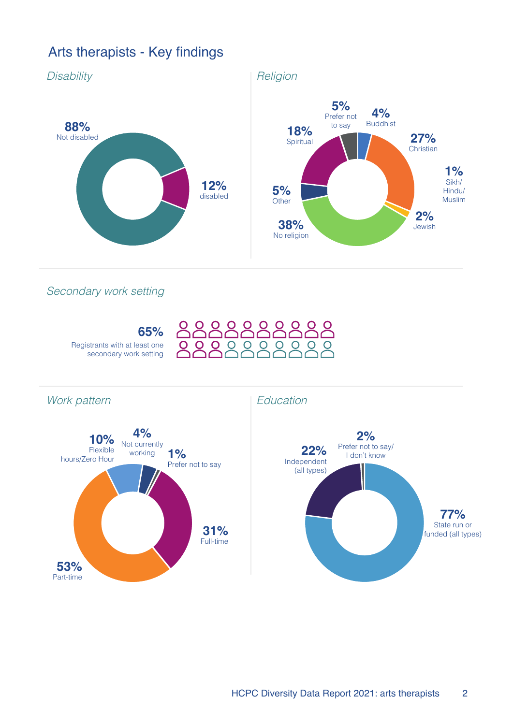## Arts therapists - Key findings



Secondary work setting



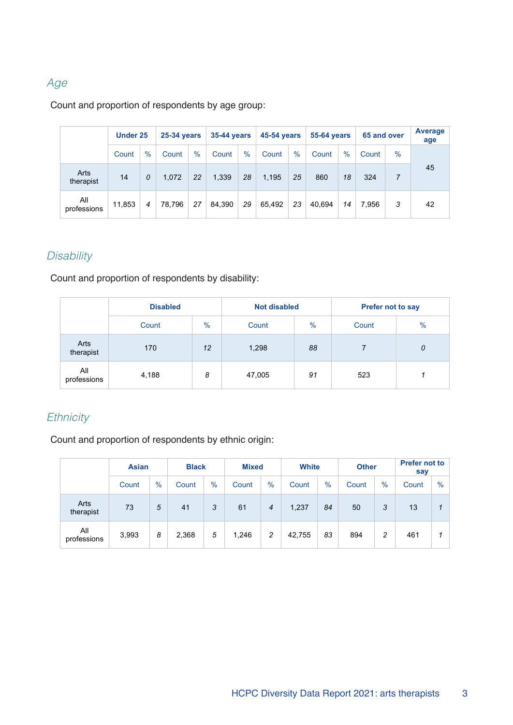## Age

#### Count and proportion of respondents by age group:

|                    | Under 25 |      | <b>25-34 years</b> |      | 35-44 years |      | 45-54 years |      | <b>55-64 years</b> |      | 65 and over |               | Average<br>age |
|--------------------|----------|------|--------------------|------|-------------|------|-------------|------|--------------------|------|-------------|---------------|----------------|
|                    | Count    | $\%$ | Count              | $\%$ | Count       | $\%$ | Count       | $\%$ | Count              | $\%$ | Count       | $\frac{0}{0}$ |                |
| Arts<br>therapist  | 14       | 0    | 1.072              | 22   | 1,339       | 28   | 1,195       | 25   | 860                | 18   | 324         | 7             | 45             |
| All<br>professions | 11,853   | 4    | 78.796             | 27   | 84,390      | 29   | 65,492      | 23   | 40.694             | 14   | 7.956       | 3             | 42             |

## **Disability**

Count and proportion of respondents by disability:

|                    | <b>Disabled</b> |      | <b>Not disabled</b> |               | <b>Prefer not to say</b> |               |  |
|--------------------|-----------------|------|---------------------|---------------|--------------------------|---------------|--|
|                    | Count           | $\%$ | Count               | $\frac{0}{0}$ | Count                    | $\frac{0}{0}$ |  |
| Arts<br>therapist  | 170             | 12   | 1,298               | 88            |                          | 0             |  |
| All<br>professions | 4,188           | 8    | 47,005              | 91            | 523                      |               |  |

#### **Ethnicity**

Count and proportion of respondents by ethnic origin:

|                    | <b>Asian</b> |      | <b>Black</b> |      | <b>Mixed</b> |      | <b>White</b> |      | <b>Other</b> |      | <b>Prefer not to</b><br>say |      |
|--------------------|--------------|------|--------------|------|--------------|------|--------------|------|--------------|------|-----------------------------|------|
|                    | Count        | $\%$ | Count        | $\%$ | Count        | $\%$ | Count        | $\%$ | Count        | $\%$ | Count                       | $\%$ |
| Arts<br>therapist  | 73           | 5    | 41           | 3    | 61           | 4    | 1,237        | 84   | 50           | 3    | 13                          |      |
| All<br>professions | 3,993        | 8    | 2,368        | 5    | 1,246        | 2    | 42,755       | 83   | 894          | 2    | 461                         |      |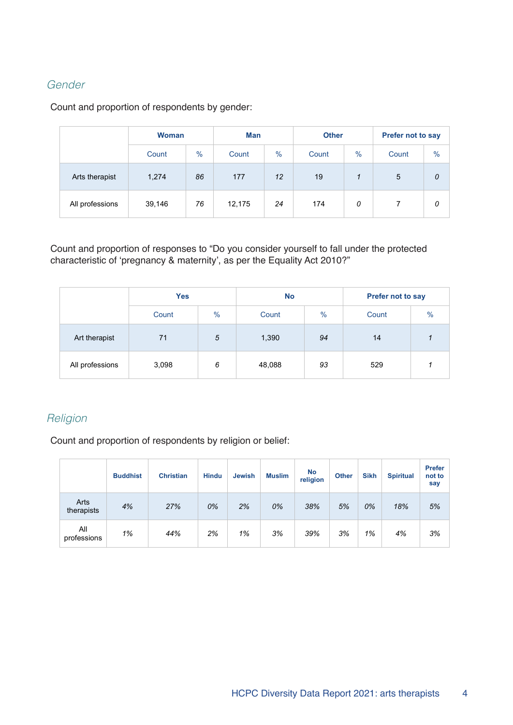#### Gender

Count and proportion of respondents by gender:

|                 | <b>Woman</b><br>$\%$<br>Count |  | Man    |      | <b>Other</b> |               | Prefer not to say |               |  |
|-----------------|-------------------------------|--|--------|------|--------------|---------------|-------------------|---------------|--|
|                 |                               |  | Count  | $\%$ |              | $\frac{0}{0}$ | Count             | $\frac{0}{0}$ |  |
| Arts therapist  | 86<br>1,274                   |  | 177    | 12   |              |               | $5\phantom{.0}$   | 0             |  |
| All professions | 76<br>39,146                  |  | 12,175 | 24   |              | 174<br>0      |                   | 0             |  |

Count and proportion of responses to "Do you consider yourself to fall under the protected characteristic of 'pregnancy & maternity', as per the Equality Act 2010?"

|                 | <b>Yes</b> |            | <b>No</b> |               | Prefer not to say |      |
|-----------------|------------|------------|-----------|---------------|-------------------|------|
|                 | Count      | $\%$       | Count     | $\frac{9}{6}$ | Count             | $\%$ |
| Art therapist   | 71         | $\sqrt{5}$ | 1,390     | 94            | 14                |      |
| All professions | 3,098      | 6          | 48,088    | 93            | 529               |      |

#### **Religion**

Count and proportion of respondents by religion or belief:

|                    | <b>Buddhist</b> | <b>Christian</b> | <b>Hindu</b> | <b>Jewish</b> | <b>Muslim</b> | No<br>religion | <b>Other</b> | <b>Sikh</b> | <b>Spiritual</b> | <b>Prefer</b><br>not to<br>say |
|--------------------|-----------------|------------------|--------------|---------------|---------------|----------------|--------------|-------------|------------------|--------------------------------|
| Arts<br>therapists | 4%              | 27%              | 0%           | 2%            | 0%            | 38%            | 5%           | 0%          | 18%              | 5%                             |
| All<br>professions | 1%              | 44%              | 2%           | 1%            | 3%            | 39%            | 3%           | 1%          | 4%               | 3%                             |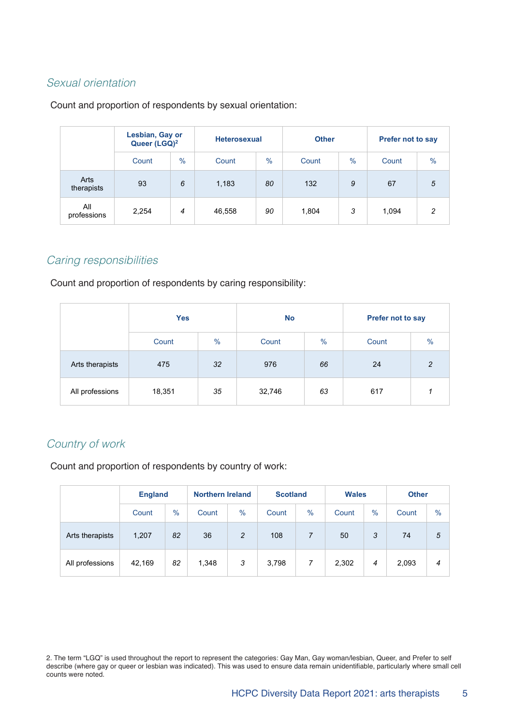#### Sexual orientation

#### Count and proportion of respondents by sexual orientation:

|                    | Lesbian, Gay or<br>Queer (LGQ) <sup>2</sup> |               | <b>Heterosexual</b> |               | <b>Other</b> |      | Prefer not to say |               |  |
|--------------------|---------------------------------------------|---------------|---------------------|---------------|--------------|------|-------------------|---------------|--|
|                    | Count                                       | $\frac{0}{0}$ | Count               | $\frac{0}{0}$ | Count        | $\%$ | Count             | $\frac{9}{6}$ |  |
| Arts<br>therapists | 93                                          | 6             | 1,183               | 80            | 132          | 9    | 67                | 5             |  |
| All<br>professions | 2,254                                       | 4             | 46,558              | 90            | 1,804        | 3    | 1,094             | 2             |  |

#### Caring responsibilities

Count and proportion of respondents by caring responsibility:

|                 | <b>Yes</b> |               | <b>No</b> |               | Prefer not to say |               |  |
|-----------------|------------|---------------|-----------|---------------|-------------------|---------------|--|
|                 | Count      | $\frac{0}{0}$ | Count     | $\frac{9}{6}$ | Count             | $\frac{0}{0}$ |  |
| Arts therapists | 475        | 32            | 976       | 66            | 24                | 2             |  |
| All professions | 18,351     | 35            | 32,746    | 63            | 617               |               |  |

#### Country of work

Count and proportion of respondents by country of work:

|                 | <b>England</b> |      | <b>Northern Ireland</b> |                | <b>Scotland</b> |               | <b>Wales</b> |      | <b>Other</b> |               |
|-----------------|----------------|------|-------------------------|----------------|-----------------|---------------|--------------|------|--------------|---------------|
|                 | Count          | $\%$ | Count                   | $\%$           | Count           | $\frac{0}{0}$ | Count        | $\%$ | Count        | $\frac{9}{6}$ |
| Arts therapists | 1,207          | 82   | 36                      | $\overline{c}$ | 108             | 7             | 50           | 3    | 74           | 5             |
| All professions | 42,169         | 82   | 1,348                   | 3              | 3,798           | 7             | 2,302        | 4    | 2,093        | 4             |

2. The term "LGQ" is used throughout the report to represent the categories: Gay Man, Gay woman/lesbian, Queer, and Prefer to self describe (where gay or queer or lesbian was indicated). This was used to ensure data remain unidentifiable, particularly where small cell counts were noted.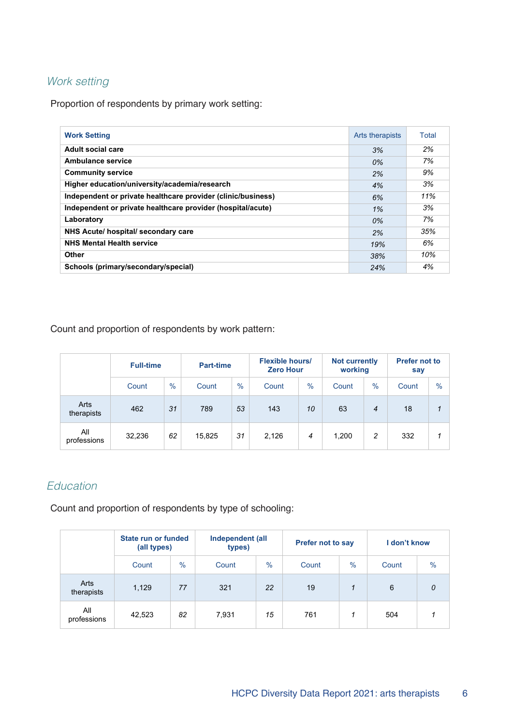#### Work setting

Proportion of respondents by primary work setting:

| <b>Work Setting</b>                                          | Arts therapists | Total |
|--------------------------------------------------------------|-----------------|-------|
| Adult social care                                            | 3%              | 2%    |
| Ambulance service                                            | 0%              | 7%    |
| <b>Community service</b>                                     | 2%              | 9%    |
| Higher education/university/academia/research                | 4%              | 3%    |
| Independent or private healthcare provider (clinic/business) | 6%              | 11%   |
| Independent or private healthcare provider (hospital/acute)  | 1%              | 3%    |
| Laboratory                                                   | 0%              | 7%    |
| NHS Acute/ hospital/ secondary care                          | 2%              | 35%   |
| <b>NHS Mental Health service</b>                             | 19%             | 6%    |
| Other                                                        | 38%             | 10%   |
| Schools (primary/secondary/special)                          | 24%             | 4%    |

Count and proportion of respondents by work pattern:

|                    | <b>Full-time</b> |      | <b>Part-time</b> |               | <b>Flexible hours/</b><br><b>Zero Hour</b> |      | <b>Not currently</b><br>working |                | <b>Prefer not to</b><br>say |               |
|--------------------|------------------|------|------------------|---------------|--------------------------------------------|------|---------------------------------|----------------|-----------------------------|---------------|
|                    | Count            | $\%$ | Count            | $\frac{0}{0}$ | Count                                      | $\%$ | Count                           | $\%$           | Count                       | $\frac{0}{0}$ |
| Arts<br>therapists | 462              | 31   | 789              | 53            | 143                                        | 10   | 63                              | $\overline{4}$ | 18                          | 1             |
| All<br>professions | 32,236           | 62   | 15,825           | 31            | 2,126                                      | 4    | 1,200                           | 2              | 332                         | 1             |

#### Education

Count and proportion of respondents by type of schooling:

|                    | State run or funded<br>(all types) |               | Independent (all<br>types) |               | <b>Prefer not to say</b> |      | I don't know |               |
|--------------------|------------------------------------|---------------|----------------------------|---------------|--------------------------|------|--------------|---------------|
|                    | Count                              | $\frac{9}{6}$ | Count                      | $\frac{0}{0}$ | Count                    | $\%$ | Count        | $\frac{9}{6}$ |
| Arts<br>therapists | 1,129                              | 77            | 321                        | 22            | 19                       | 1    | 6            | 0             |
| All<br>professions | 42,523                             | 82            | 7,931                      | 15            | 761                      | 1    | 504          | 1             |